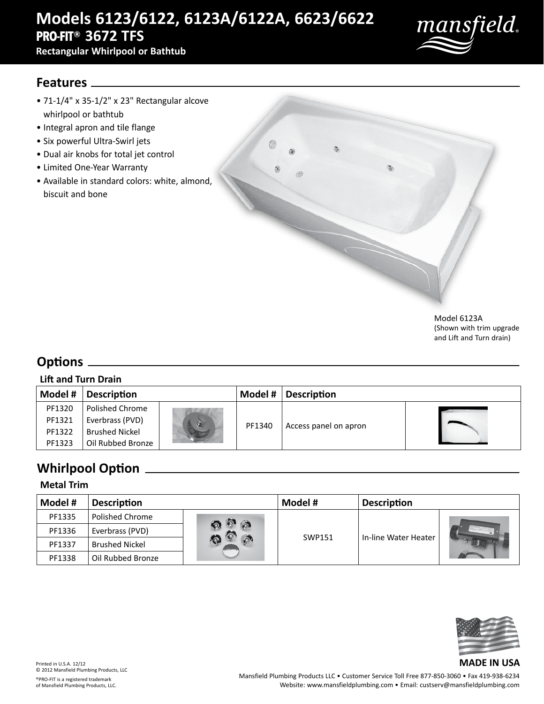# **Models 6123/6122, 6123A/6122A, 6623/6622 PRO-FIT® 3672 TFS**

**Rectangular Whirlpool or Bathtub**



### **Features**

- 71-1/4" x 35-1/2" x 23" Rectangular alcove whirlpool or bathtub
- Integral apron and tile flange
- Six powerful Ultra-Swirl jets
- Dual air knobs for total jet control
- Limited One-Year Warranty
- Available in standard colors: white, almond, biscuit and bone



Model 6123A (Shown with trim upgrade and Lift and Turn drain)

## **Options**

#### **Lift and Turn Drain**

| Model # | <b>Description</b>    |    | Model # | <b>Description</b>    |  |
|---------|-----------------------|----|---------|-----------------------|--|
| PF1320  | Polished Chrome       |    |         |                       |  |
| PF1321  | Everbrass (PVD)       | V. |         |                       |  |
| PF1322  | <b>Brushed Nickel</b> |    | PF1340  | Access panel on apron |  |
| PF1323  | Oil Rubbed Bronze     |    |         |                       |  |

## **Whirlpool Option**

#### **Metal Trim**

| Model # | <b>Description</b>    |                            | Model #       | <b>Description</b>   |  |
|---------|-----------------------|----------------------------|---------------|----------------------|--|
| PF1335  | Polished Chrome       |                            |               |                      |  |
| PF1336  | Everbrass (PVD)       | $\circledcirc$<br><b>A</b> | <b>SWP151</b> | In-line Water Heater |  |
| PF1337  | <b>Brushed Nickel</b> |                            |               |                      |  |
| PF1338  | Oil Rubbed Bronze     |                            |               |                      |  |